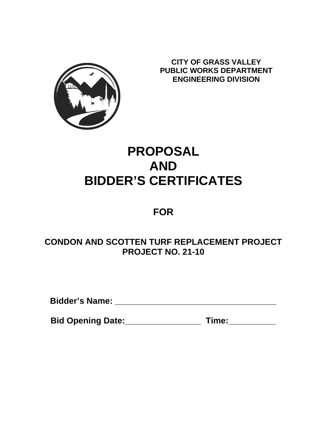

**CITY OF GRASS VALLEY PUBLIC WORKS DEPARTMENT ENGINEERING DIVISION**

# **PROPOSAL AND BIDDER'S CERTIFICATES**

## **FOR**

## **CONDON AND SCOTTEN TURF REPLACEMENT PROJECT PROJECT NO. 21-10**

**Bidder's Name: \_\_\_\_\_\_\_\_\_\_\_\_\_\_\_\_\_\_\_\_\_\_\_\_\_\_\_\_\_\_\_\_\_\_**

Bid Opening Date:\_\_\_\_\_\_\_\_\_\_\_\_\_\_\_\_\_\_\_\_\_\_\_ Time:\_\_\_\_\_\_\_\_\_\_\_\_\_\_\_\_\_\_\_\_\_\_\_\_\_\_\_\_\_\_\_\_\_\_\_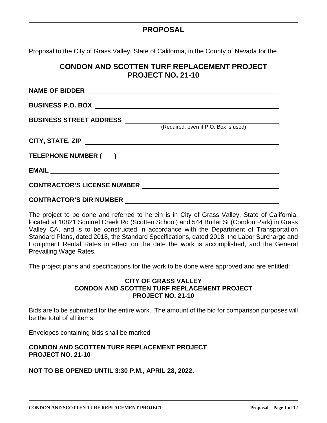## **PROPOSAL**

Proposal to the City of Grass Valley, State of California, in the County of Nevada for the

## **CONDON AND SCOTTEN TURF REPLACEMENT PROJECT PROJECT NO. 21-10**

| <b>NAME OF BIDDER</b>              |                                      |
|------------------------------------|--------------------------------------|
|                                    |                                      |
| BUSINESS STREET ADDRESS __________ | (Required, even if P.O. Box is used) |
|                                    |                                      |
| <b>TELEPHONE NUMBER (</b>          |                                      |
|                                    |                                      |
| <b>CONTRACTOR'S LICENSE NUMBER</b> |                                      |
|                                    |                                      |

The project to be done and referred to herein is in City of Grass Valley, State of California, located at 10821 Squirrel Creek Rd (Scotten School) and 544 Butler St (Condon Park) in Grass Valley CA, and is to be constructed in accordance with the Department of Transportation Standard Plans, dated 2018, the Standard Specifications, dated 2018, the Labor Surcharge and Equipment Rental Rates in effect on the date the work is accomplished, and the General Prevailing Wage Rates.

The project plans and specifications for the work to be done were approved and are entitled:

#### **CITY OF GRASS VALLEY CONDON AND SCOTTEN TURF REPLACEMENT PROJECT PROJECT NO. 21-10**

Bids are to be submitted for the entire work. The amount of the bid for comparison purposes will be the total of all items.

Envelopes containing bids shall be marked -

### **CONDON AND SCOTTEN TURF REPLACEMENT PROJECT PROJECT NO. 21-10**

#### **NOT TO BE OPENED UNTIL 3:30 P.M., APRIL 28, 2022.**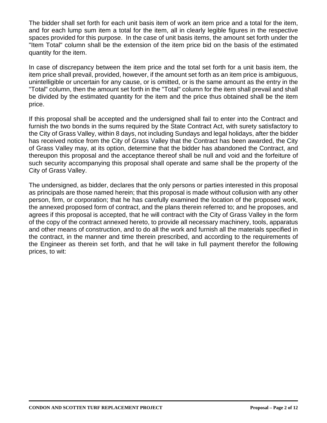The bidder shall set forth for each unit basis item of work an item price and a total for the item, and for each lump sum item a total for the item, all in clearly legible figures in the respective spaces provided for this purpose. In the case of unit basis items, the amount set forth under the "Item Total" column shall be the extension of the item price bid on the basis of the estimated quantity for the item.

In case of discrepancy between the item price and the total set forth for a unit basis item, the item price shall prevail, provided, however, if the amount set forth as an item price is ambiguous, unintelligible or uncertain for any cause, or is omitted, or is the same amount as the entry in the "Total" column, then the amount set forth in the "Total" column for the item shall prevail and shall be divided by the estimated quantity for the item and the price thus obtained shall be the item price.

If this proposal shall be accepted and the undersigned shall fail to enter into the Contract and furnish the two bonds in the sums required by the State Contract Act, with surety satisfactory to the City of Grass Valley, within 8 days, not including Sundays and legal holidays, after the bidder has received notice from the City of Grass Valley that the Contract has been awarded, the City of Grass Valley may, at its option, determine that the bidder has abandoned the Contract, and thereupon this proposal and the acceptance thereof shall be null and void and the forfeiture of such security accompanying this proposal shall operate and same shall be the property of the City of Grass Valley.

The undersigned, as bidder, declares that the only persons or parties interested in this proposal as principals are those named herein; that this proposal is made without collusion with any other person, firm, or corporation; that he has carefully examined the location of the proposed work, the annexed proposed form of contract, and the plans therein referred to; and he proposes, and agrees if this proposal is accepted, that he will contract with the City of Grass Valley in the form of the copy of the contract annexed hereto, to provide all necessary machinery, tools, apparatus and other means of construction, and to do all the work and furnish all the materials specified in the contract, in the manner and time therein prescribed, and according to the requirements of the Engineer as therein set forth, and that he will take in full payment therefor the following prices, to wit: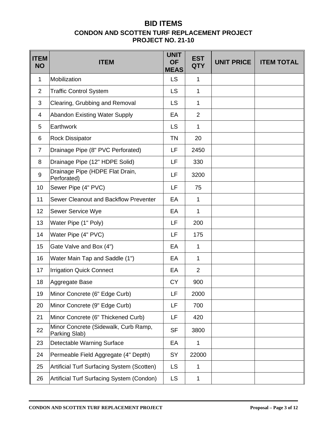## **BID ITEMS CONDON AND SCOTTEN TURF REPLACEMENT PROJECT PROJECT NO. 21-10**

| <b>ITEM</b><br><b>NO</b> | <b>ITEM</b>                                           | <b>UNIT</b><br><b>OF</b><br><b>MEAS</b> | <b>EST</b><br><b>QTY</b> | <b>UNIT PRICE</b> | <b>ITEM TOTAL</b> |
|--------------------------|-------------------------------------------------------|-----------------------------------------|--------------------------|-------------------|-------------------|
| 1                        | Mobilization                                          | <b>LS</b>                               | $\mathbf{1}$             |                   |                   |
| 2                        | <b>Traffic Control System</b>                         | <b>LS</b>                               | $\mathbf{1}$             |                   |                   |
| 3                        | Clearing, Grubbing and Removal                        | LS                                      | 1                        |                   |                   |
| 4                        | <b>Abandon Existing Water Supply</b>                  | EA                                      | $\overline{2}$           |                   |                   |
| 5                        | Earthwork                                             | <b>LS</b>                               | $\mathbf{1}$             |                   |                   |
| 6                        | <b>Rock Dissipator</b>                                | <b>TN</b>                               | 20                       |                   |                   |
| $\overline{7}$           | Drainage Pipe (8" PVC Perforated)                     | LF                                      | 2450                     |                   |                   |
| 8                        | Drainage Pipe (12" HDPE Solid)                        | LF                                      | 330                      |                   |                   |
| 9                        | Drainage Pipe (HDPE Flat Drain,<br>Perforated)        | LF                                      | 3200                     |                   |                   |
| 10                       | Sewer Pipe (4" PVC)                                   | LF                                      | 75                       |                   |                   |
| 11                       | Sewer Cleanout and Backflow Preventer                 | EA                                      | $\mathbf{1}$             |                   |                   |
| 12                       | Sewer Service Wye                                     | EA                                      | $\mathbf{1}$             |                   |                   |
| 13                       | Water Pipe (1" Poly)                                  | LF                                      | 200                      |                   |                   |
| 14                       | Water Pipe (4" PVC)                                   | LF                                      | 175                      |                   |                   |
| 15                       | Gate Valve and Box (4")                               | EA                                      | 1                        |                   |                   |
| 16                       | Water Main Tap and Saddle (1")                        | EA                                      | $\mathbf{1}$             |                   |                   |
| 17                       | <b>Irrigation Quick Connect</b>                       | EA                                      | $\overline{2}$           |                   |                   |
| 18                       | Aggregate Base                                        | <b>CY</b>                               | 900                      |                   |                   |
| 19                       | Minor Concrete (6" Edge Curb)                         | LF                                      | 2000                     |                   |                   |
| 20                       | Minor Concrete (9" Edge Curb)                         | LF                                      | 700                      |                   |                   |
| 21                       | Minor Concrete (6" Thickened Curb)                    | LF                                      | 420                      |                   |                   |
| 22                       | Minor Concrete (Sidewalk, Curb Ramp,<br>Parking Slab) | <b>SF</b>                               | 3800                     |                   |                   |
| 23                       | Detectable Warning Surface                            | EA                                      | $\mathbf 1$              |                   |                   |
| 24                       | Permeable Field Aggregate (4" Depth)                  | SY                                      | 22000                    |                   |                   |
| 25                       | Artificial Turf Surfacing System (Scotten)            | <b>LS</b>                               | $\mathbf 1$              |                   |                   |
| 26                       | Artificial Turf Surfacing System (Condon)             | <b>LS</b>                               | 1                        |                   |                   |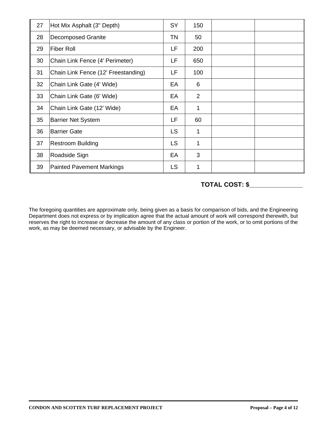| 27 | Hot Mix Asphalt (3" Depth)          | <b>SY</b> | 150 |  |
|----|-------------------------------------|-----------|-----|--|
| 28 | <b>Decomposed Granite</b>           | <b>TN</b> | 50  |  |
| 29 | <b>Fiber Roll</b>                   | LF        | 200 |  |
| 30 | Chain Link Fence (4' Perimeter)     | LF        | 650 |  |
| 31 | Chain Link Fence (12' Freestanding) | LF        | 100 |  |
| 32 | Chain Link Gate (4' Wide)           | EA        | 6   |  |
| 33 | Chain Link Gate (6' Wide)           | EA        | 2   |  |
| 34 | Chain Link Gate (12' Wide)          | EA        | 1   |  |
| 35 | <b>Barrier Net System</b>           | LF        | 60  |  |
| 36 | <b>Barrier Gate</b>                 | <b>LS</b> | 1   |  |
| 37 | <b>Restroom Building</b>            | <b>LS</b> | 1   |  |
| 38 | Roadside Sign                       | EA        | 3   |  |
| 39 | <b>Painted Pavement Markings</b>    | <b>LS</b> | 1   |  |

## **TOTAL COST: \$\_\_\_\_\_\_\_\_\_\_\_\_\_\_\_**

The foregoing quantities are approximate only, being given as a basis for comparison of bids, and the Engineering Department does not express or by implication agree that the actual amount of work will correspond therewith, but reserves the right to increase or decrease the amount of any class or portion of the work, or to omit portions of the work, as may be deemed necessary, or advisable by the Engineer.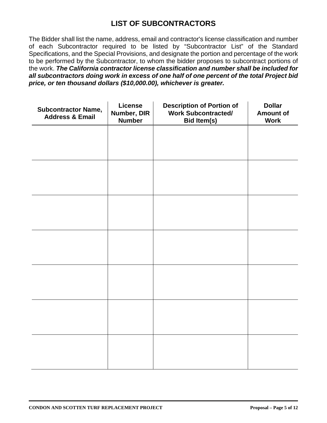## **LIST OF SUBCONTRACTORS**

The Bidder shall list the name, address, email and contractor's license classification and number of each Subcontractor required to be listed by "Subcontractor List" of the Standard Specifications, and the Special Provisions, and designate the portion and percentage of the work to be performed by the Subcontractor, to whom the bidder proposes to subcontract portions of the work. *The California contractor license classification and number shall be included for all subcontractors doing work in excess of one half of one percent of the total Project bid price, or ten thousand dollars (\$10,000.00), whichever is greater.*

| <b>Subcontractor Name,</b><br><b>Address &amp; Email</b> | License<br>Number, DIR<br><b>Number</b> | <b>Description of Portion of</b><br><b>Work Subcontracted/</b><br><b>Bid Item(s)</b> | <b>Dollar</b><br><b>Amount of</b><br><b>Work</b> |
|----------------------------------------------------------|-----------------------------------------|--------------------------------------------------------------------------------------|--------------------------------------------------|
|                                                          |                                         |                                                                                      |                                                  |
|                                                          |                                         |                                                                                      |                                                  |
|                                                          |                                         |                                                                                      |                                                  |
|                                                          |                                         |                                                                                      |                                                  |
|                                                          |                                         |                                                                                      |                                                  |
|                                                          |                                         |                                                                                      |                                                  |
|                                                          |                                         |                                                                                      |                                                  |
|                                                          |                                         |                                                                                      |                                                  |
|                                                          |                                         |                                                                                      |                                                  |
|                                                          |                                         |                                                                                      |                                                  |
|                                                          |                                         |                                                                                      |                                                  |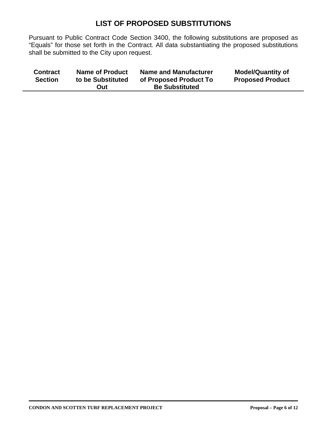## **LIST OF PROPOSED SUBSTITUTIONS**

Pursuant to Public Contract Code Section 3400, the following substitutions are proposed as "Equals" for those set forth in the Contract. All data substantiating the proposed substitutions shall be submitted to the City upon request.

| <b>Be Substituted</b> | <b>Contract</b> | <b>Name of Product</b> | <b>Name and Manufacturer</b> | <b>Model/Quantity of</b> |
|-----------------------|-----------------|------------------------|------------------------------|--------------------------|
| Out                   | <b>Section</b>  | to be Substituted      | of Proposed Product To       | <b>Proposed Product</b>  |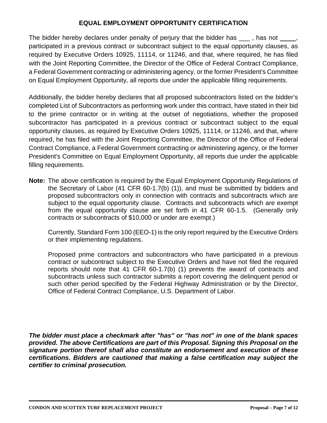## **EQUAL EMPLOYMENT OPPORTUNITY CERTIFICATION**

The bidder hereby declares under penalty of perjury that the bidder has \_\_\_, has not \_\_\_, participated in a previous contract or subcontract subject to the equal opportunity clauses, as required by Executive Orders 10925, 11114, or 11246, and that, where required, he has filed with the Joint Reporting Committee, the Director of the Office of Federal Contract Compliance, a Federal Government contracting or administering agency, or the former President's Committee on Equal Employment Opportunity, all reports due under the applicable filling requirements.

Additionally, the bidder hereby declares that all proposed subcontractors listed on the bidder's completed List of Subcontractors as performing work under this contract, have stated in their bid to the prime contractor or in writing at the outset of negotiations, whether the proposed subcontractor has participated in a previous contract or subcontract subject to the equal opportunity clauses, as required by Executive Orders 10925, 11114, or 11246, and that, where required, he has filed with the Joint Reporting Committee, the Director of the Office of Federal Contract Compliance, a Federal Government contracting or administering agency, or the former President's Committee on Equal Employment Opportunity, all reports due under the applicable filling requirements.

**Note:** The above certification is required by the Equal Employment Opportunity Regulations of the Secretary of Labor (41 CFR 60-1.7(b) (1)), and must be submitted by bidders and proposed subcontractors only in connection with contracts and subcontracts which are subject to the equal opportunity clause. Contracts and subcontracts which are exempt from the equal opportunity clause are set forth in 41 CFR 60-1.5. (Generally only contracts or subcontracts of \$10,000 or under are exempt.)

Currently, Standard Form 100 (EEO-1) is the only report required by the Executive Orders or their implementing regulations.

Proposed prime contractors and subcontractors who have participated in a previous contract or subcontract subject to the Executive Orders and have not filed the required reports should note that 41 CFR 60-1.7(b) (1) prevents the award of contracts and subcontracts unless such contractor submits a report covering the delinquent period or such other period specified by the Federal Highway Administration or by the Director, Office of Federal Contract Compliance, U.S. Department of Labor.

*The bidder must place a checkmark after "has" or "has not" in one of the blank spaces provided. The above Certifications are part of this Proposal. Signing this Proposal on the signature portion thereof shall also constitute an endorsement and execution of these certifications. Bidders are cautioned that making a false certification may subject the certifier to criminal prosecution.*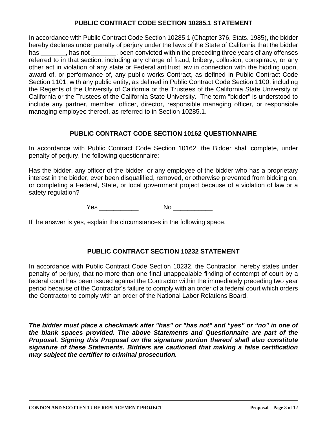## **PUBLIC CONTRACT CODE SECTION 10285.1 STATEMENT**

In accordance with Public Contract Code Section 10285.1 (Chapter 376, Stats. 1985), the bidder hereby declares under penalty of perjury under the laws of the State of California that the bidder has \_\_\_\_\_\_\_, has not \_\_\_\_\_\_, been convicted within the preceding three years of any offenses referred to in that section, including any charge of fraud, bribery, collusion, conspiracy, or any other act in violation of any state or Federal antitrust law in connection with the bidding upon, award of, or performance of, any public works Contract, as defined in Public Contract Code Section 1101, with any public entity, as defined in Public Contract Code Section 1100, including the Regents of the University of California or the Trustees of the California State University of California or the Trustees of the California State University. The term "bidder" is understood to include any partner, member, officer, director, responsible managing officer, or responsible managing employee thereof, as referred to in Section 10285.1.

### **PUBLIC CONTRACT CODE SECTION 10162 QUESTIONNAIRE**

In accordance with Public Contract Code Section 10162, the Bidder shall complete, under penalty of perjury, the following questionnaire:

Has the bidder, any officer of the bidder, or any employee of the bidder who has a proprietary interest in the bidder, ever been disqualified, removed, or otherwise prevented from bidding on, or completing a Federal, State, or local government project because of a violation of law or a safety regulation?

Yes \_\_\_\_\_\_\_\_\_\_\_ No \_\_\_\_\_\_\_\_\_\_\_

If the answer is yes, explain the circumstances in the following space.

## **PUBLIC CONTRACT SECTION 10232 STATEMENT**

In accordance with Public Contract Code Section 10232, the Contractor, hereby states under penalty of perjury, that no more than one final unappealable finding of contempt of court by a federal court has been issued against the Contractor within the immediately preceding two year period because of the Contractor's failure to comply with an order of a federal court which orders the Contractor to comply with an order of the National Labor Relations Board.

*The bidder must place a checkmark after "has" or "has not" and "yes" or "no" in one of the blank spaces provided. The above Statements and Questionnaire are part of the Proposal. Signing this Proposal on the signature portion thereof shall also constitute signature of these Statements. Bidders are cautioned that making a false certification may subject the certifier to criminal prosecution.*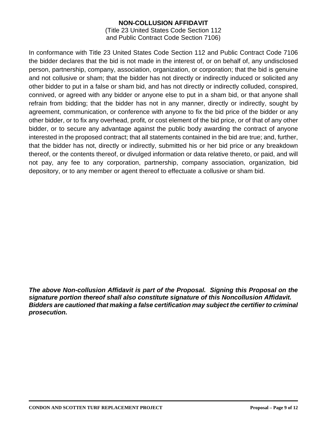## **NON-COLLUSION AFFIDAVIT**

(Title 23 United States Code Section 112 and Public Contract Code Section 7106)

In conformance with Title 23 United States Code Section 112 and Public Contract Code 7106 the bidder declares that the bid is not made in the interest of, or on behalf of, any undisclosed person, partnership, company, association, organization, or corporation; that the bid is genuine and not collusive or sham; that the bidder has not directly or indirectly induced or solicited any other bidder to put in a false or sham bid, and has not directly or indirectly colluded, conspired, connived, or agreed with any bidder or anyone else to put in a sham bid, or that anyone shall refrain from bidding; that the bidder has not in any manner, directly or indirectly, sought by agreement, communication, or conference with anyone to fix the bid price of the bidder or any other bidder, or to fix any overhead, profit, or cost element of the bid price, or of that of any other bidder, or to secure any advantage against the public body awarding the contract of anyone interested in the proposed contract; that all statements contained in the bid are true; and, further, that the bidder has not, directly or indirectly, submitted his or her bid price or any breakdown thereof, or the contents thereof, or divulged information or data relative thereto, or paid, and will not pay, any fee to any corporation, partnership, company association, organization, bid depository, or to any member or agent thereof to effectuate a collusive or sham bid.

*The above Non-collusion Affidavit is part of the Proposal. Signing this Proposal on the signature portion thereof shall also constitute signature of this Noncollusion Affidavit. Bidders are cautioned that making a false certification may subject the certifier to criminal prosecution.*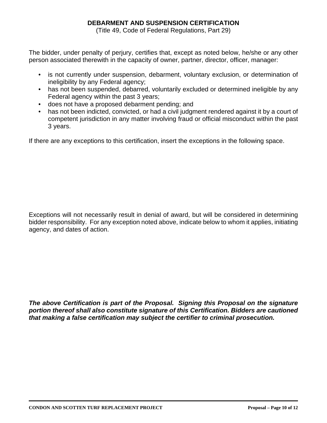## **DEBARMENT AND SUSPENSION CERTIFICATION**

(Title 49, Code of Federal Regulations, Part 29)

The bidder, under penalty of perjury, certifies that, except as noted below, he/she or any other person associated therewith in the capacity of owner, partner, director, officer, manager:

- is not currently under suspension, debarment, voluntary exclusion, or determination of ineligibility by any Federal agency;
- has not been suspended, debarred, voluntarily excluded or determined ineligible by any Federal agency within the past 3 years;
- does not have a proposed debarment pending; and
- has not been indicted, convicted, or had a civil judgment rendered against it by a court of competent jurisdiction in any matter involving fraud or official misconduct within the past 3 years.

If there are any exceptions to this certification, insert the exceptions in the following space.

Exceptions will not necessarily result in denial of award, but will be considered in determining bidder responsibility. For any exception noted above, indicate below to whom it applies, initiating agency, and dates of action.

*The above Certification is part of the Proposal. Signing this Proposal on the signature portion thereof shall also constitute signature of this Certification. Bidders are cautioned that making a false certification may subject the certifier to criminal prosecution.*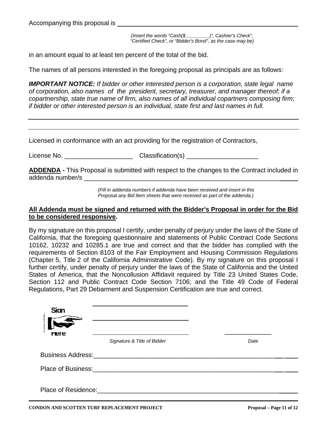Accompanying this proposal is

*(Insert the words "Cash(\$\_\_\_\_\_\_\_\_\_)", Cashier's Check", "Certified Check", or "Bidder's Bond", as the case may be)*

in an amount equal to at least ten percent of the total of the bid.

The names of all persons interested in the foregoing proposal as principals are as follows:

*IMPORTANT NOTICE: If bidder or other interested person is a corporation, state legal name of corporation, also names of the president, secretary, treasurer, and manager thereof; if a copartnership, state true name of firm, also names of all individual copartners composing firm; if bidder or other interested person is an individual, state first and last names in full.*

Licensed in conformance with an act providing for the registration of Contractors,

License No. \_\_\_\_\_\_\_\_\_\_\_\_\_\_\_\_\_\_\_ Classification(s) \_\_\_\_\_\_\_\_\_\_\_\_\_\_\_\_\_\_\_\_

**ADDENDA -** This Proposal is submitted with respect to the changes to the Contract included in addenda number/s \_\_\_\_\_\_\_\_\_\_\_\_\_\_\_\_\_\_\_\_\_\_\_\_\_\_\_\_\_\_\_\_\_\_\_\_\_\_\_\_\_\_\_\_\_\_\_\_\_\_\_\_\_\_\_

> *(Fill in addenda numbers if addenda have been received and insert in this Proposal any Bid Item sheets that were received as part of the addenda.)*

#### **All Addenda must be signed and returned with the Bidder's Proposal in order for the Bid to be considered responsive.**

By my signature on this proposal I certify, under penalty of perjury under the laws of the State of California, that the foregoing questionnaire and statements of Public Contract Code Sections 10162, 10232 and 10285.1 are true and correct and that the bidder has complied with the requirements of Section 8103 of the Fair Employment and Housing Commission Regulations (Chapter 5, Title 2 of the California Administrative Code). By my signature on this proposal I further certify, under penalty of perjury under the laws of the State of California and the United States of America, that the Noncollusion Affidavit required by Title 23 United States Code, Section 112 and Public Contract Code Section 7106; and the Title 49 Code of Federal Regulations, Part 29 Debarment and Suspension Certification are true and correct.

| <b>Sian</b><br><b>START RESERVE</b><br><b>Here</b> |                                              |      |
|----------------------------------------------------|----------------------------------------------|------|
|                                                    | Signature & Title of Bidder                  | Date |
|                                                    | <b>Business Address: Example 2016</b>        |      |
|                                                    | Place of Business: The Contract of Business: |      |
| Place of Residence:                                |                                              |      |